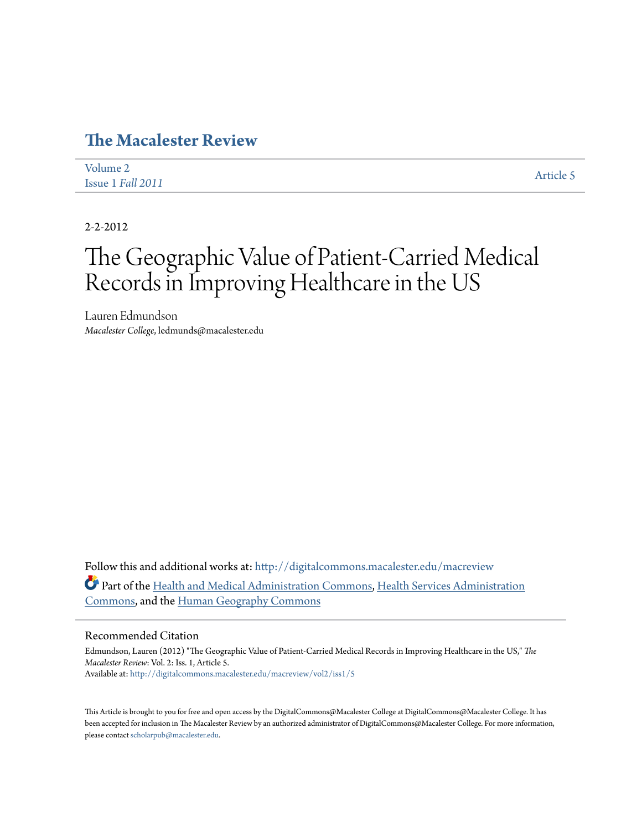## **[The Macalester Review](http://digitalcommons.macalester.edu/macreview?utm_source=digitalcommons.macalester.edu%2Fmacreview%2Fvol2%2Fiss1%2F5&utm_medium=PDF&utm_campaign=PDFCoverPages)**

| Volume 2          | <b>Article 5</b> |
|-------------------|------------------|
| Issue 1 Fall 2011 |                  |

2-2-2012

## The Geographic Value of Patient-Carried Medical Records in Improving Healthcare in the US

Lauren Edmundson *Macalester College*, ledmunds@macalester.edu

Follow this and additional works at: [http://digitalcommons.macalester.edu/macreview](http://digitalcommons.macalester.edu/macreview?utm_source=digitalcommons.macalester.edu%2Fmacreview%2Fvol2%2Fiss1%2F5&utm_medium=PDF&utm_campaign=PDFCoverPages) Part of the [Health and Medical Administration Commons](http://network.bepress.com/hgg/discipline/663?utm_source=digitalcommons.macalester.edu%2Fmacreview%2Fvol2%2Fiss1%2F5&utm_medium=PDF&utm_campaign=PDFCoverPages), [Health Services Administration](http://network.bepress.com/hgg/discipline/747?utm_source=digitalcommons.macalester.edu%2Fmacreview%2Fvol2%2Fiss1%2F5&utm_medium=PDF&utm_campaign=PDFCoverPages) [Commons,](http://network.bepress.com/hgg/discipline/747?utm_source=digitalcommons.macalester.edu%2Fmacreview%2Fvol2%2Fiss1%2F5&utm_medium=PDF&utm_campaign=PDFCoverPages) and the [Human Geography Commons](http://network.bepress.com/hgg/discipline/356?utm_source=digitalcommons.macalester.edu%2Fmacreview%2Fvol2%2Fiss1%2F5&utm_medium=PDF&utm_campaign=PDFCoverPages)

## Recommended Citation

Edmundson, Lauren (2012) "The Geographic Value of Patient-Carried Medical Records in Improving Healthcare in the US," *The Macalester Review*: Vol. 2: Iss. 1, Article 5. Available at: [http://digitalcommons.macalester.edu/macreview/vol2/iss1/5](http://digitalcommons.macalester.edu/macreview/vol2/iss1/5?utm_source=digitalcommons.macalester.edu%2Fmacreview%2Fvol2%2Fiss1%2F5&utm_medium=PDF&utm_campaign=PDFCoverPages)

This Article is brought to you for free and open access by the DigitalCommons@Macalester College at DigitalCommons@Macalester College. It has been accepted for inclusion in The Macalester Review by an authorized administrator of DigitalCommons@Macalester College. For more information, please contact [scholarpub@macalester.edu.](mailto:scholarpub@macalester.edu)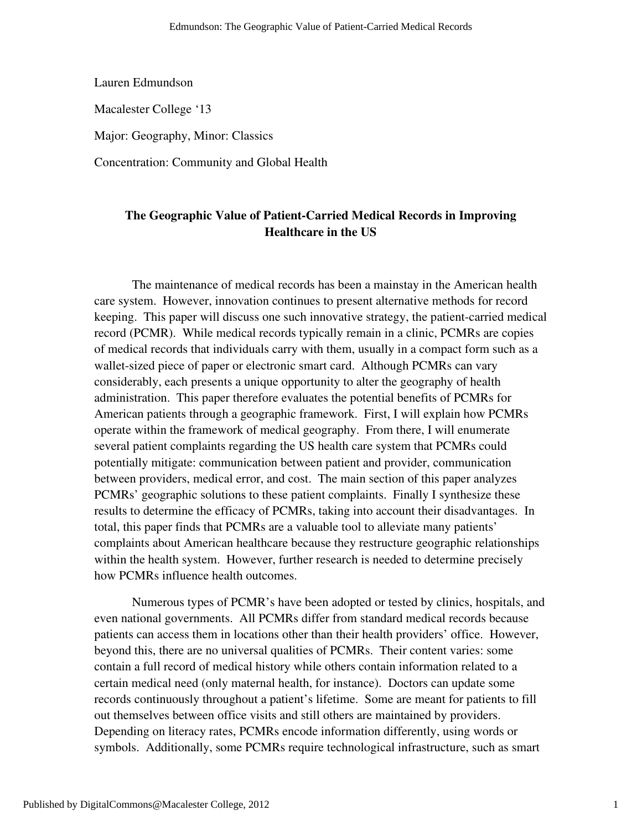Lauren Edmundson

Macalester College '13

Major: Geography, Minor: Classics

Concentration: Community and Global Health

## **The Geographic Value of Patient-Carried Medical Records in Improving Healthcare in the US**

 The maintenance of medical records has been a mainstay in the American health care system. However, innovation continues to present alternative methods for record keeping. This paper will discuss one such innovative strategy, the patient-carried medical record (PCMR). While medical records typically remain in a clinic, PCMRs are copies of medical records that individuals carry with them, usually in a compact form such as a wallet-sized piece of paper or electronic smart card. Although PCMRs can vary considerably, each presents a unique opportunity to alter the geography of health administration. This paper therefore evaluates the potential benefits of PCMRs for American patients through a geographic framework. First, I will explain how PCMRs operate within the framework of medical geography. From there, I will enumerate several patient complaints regarding the US health care system that PCMRs could potentially mitigate: communication between patient and provider, communication between providers, medical error, and cost. The main section of this paper analyzes PCMRs' geographic solutions to these patient complaints. Finally I synthesize these results to determine the efficacy of PCMRs, taking into account their disadvantages. In total, this paper finds that PCMRs are a valuable tool to alleviate many patients' complaints about American healthcare because they restructure geographic relationships within the health system. However, further research is needed to determine precisely how PCMRs influence health outcomes.

Numerous types of PCMR's have been adopted or tested by clinics, hospitals, and even national governments. All PCMRs differ from standard medical records because patients can access them in locations other than their health providers' office. However, beyond this, there are no universal qualities of PCMRs. Their content varies: some contain a full record of medical history while others contain information related to a certain medical need (only maternal health, for instance). Doctors can update some records continuously throughout a patient's lifetime. Some are meant for patients to fill out themselves between office visits and still others are maintained by providers. Depending on literacy rates, PCMRs encode information differently, using words or symbols. Additionally, some PCMRs require technological infrastructure, such as smart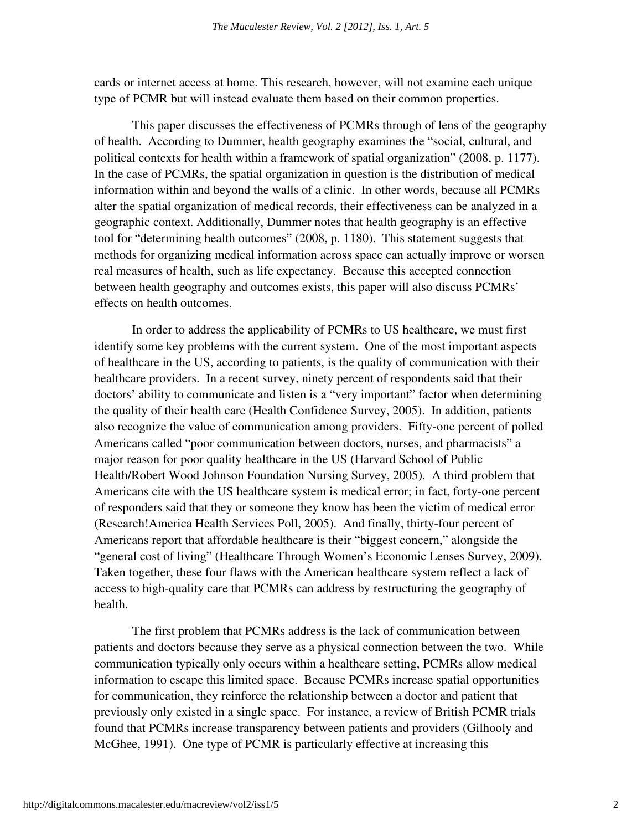cards or internet access at home. This research, however, will not examine each unique type of PCMR but will instead evaluate them based on their common properties.

 This paper discusses the effectiveness of PCMRs through of lens of the geography of health. According to Dummer, health geography examines the "social, cultural, and political contexts for health within a framework of spatial organization" (2008, p. 1177). In the case of PCMRs, the spatial organization in question is the distribution of medical information within and beyond the walls of a clinic. In other words, because all PCMRs alter the spatial organization of medical records, their effectiveness can be analyzed in a geographic context. Additionally, Dummer notes that health geography is an effective tool for "determining health outcomes" (2008, p. 1180). This statement suggests that methods for organizing medical information across space can actually improve or worsen real measures of health, such as life expectancy. Because this accepted connection between health geography and outcomes exists, this paper will also discuss PCMRs' effects on health outcomes.

In order to address the applicability of PCMRs to US healthcare, we must first identify some key problems with the current system. One of the most important aspects of healthcare in the US, according to patients, is the quality of communication with their healthcare providers. In a recent survey, ninety percent of respondents said that their doctors' ability to communicate and listen is a "very important" factor when determining the quality of their health care (Health Confidence Survey, 2005). In addition, patients also recognize the value of communication among providers. Fifty-one percent of polled Americans called "poor communication between doctors, nurses, and pharmacists" a major reason for poor quality healthcare in the US (Harvard School of Public Health/Robert Wood Johnson Foundation Nursing Survey, 2005). A third problem that Americans cite with the US healthcare system is medical error; in fact, forty-one percent of responders said that they or someone they know has been the victim of medical error (Research!America Health Services Poll, 2005). And finally, thirty-four percent of Americans report that affordable healthcare is their "biggest concern," alongside the "general cost of living" (Healthcare Through Women's Economic Lenses Survey, 2009). Taken together, these four flaws with the American healthcare system reflect a lack of access to high-quality care that PCMRs can address by restructuring the geography of health.

The first problem that PCMRs address is the lack of communication between patients and doctors because they serve as a physical connection between the two. While communication typically only occurs within a healthcare setting, PCMRs allow medical information to escape this limited space. Because PCMRs increase spatial opportunities for communication, they reinforce the relationship between a doctor and patient that previously only existed in a single space. For instance, a review of British PCMR trials found that PCMRs increase transparency between patients and providers (Gilhooly and McGhee, 1991). One type of PCMR is particularly effective at increasing this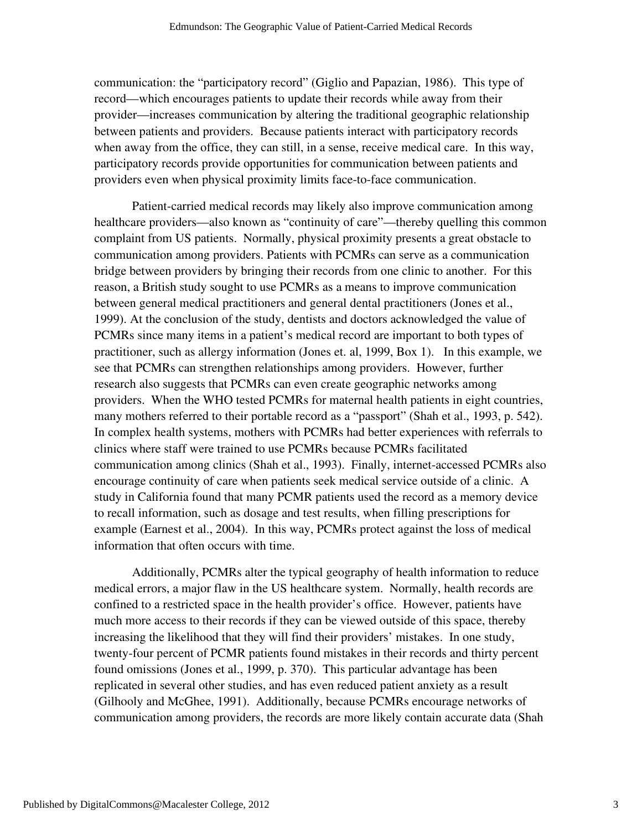communication: the "participatory record" (Giglio and Papazian, 1986). This type of record—which encourages patients to update their records while away from their provider—increases communication by altering the traditional geographic relationship between patients and providers. Because patients interact with participatory records when away from the office, they can still, in a sense, receive medical care. In this way, participatory records provide opportunities for communication between patients and providers even when physical proximity limits face-to-face communication.

 Patient-carried medical records may likely also improve communication among healthcare providers—also known as "continuity of care"—thereby quelling this common complaint from US patients. Normally, physical proximity presents a great obstacle to communication among providers. Patients with PCMRs can serve as a communication bridge between providers by bringing their records from one clinic to another. For this reason, a British study sought to use PCMRs as a means to improve communication between general medical practitioners and general dental practitioners (Jones et al., 1999). At the conclusion of the study, dentists and doctors acknowledged the value of PCMRs since many items in a patient's medical record are important to both types of practitioner, such as allergy information (Jones et. al, 1999, Box 1). In this example, we see that PCMRs can strengthen relationships among providers. However, further research also suggests that PCMRs can even create geographic networks among providers. When the WHO tested PCMRs for maternal health patients in eight countries, many mothers referred to their portable record as a "passport" (Shah et al., 1993, p. 542). In complex health systems, mothers with PCMRs had better experiences with referrals to clinics where staff were trained to use PCMRs because PCMRs facilitated communication among clinics (Shah et al., 1993). Finally, internet-accessed PCMRs also encourage continuity of care when patients seek medical service outside of a clinic. A study in California found that many PCMR patients used the record as a memory device to recall information, such as dosage and test results, when filling prescriptions for example (Earnest et al., 2004). In this way, PCMRs protect against the loss of medical information that often occurs with time.

 Additionally, PCMRs alter the typical geography of health information to reduce medical errors, a major flaw in the US healthcare system. Normally, health records are confined to a restricted space in the health provider's office. However, patients have much more access to their records if they can be viewed outside of this space, thereby increasing the likelihood that they will find their providers' mistakes. In one study, twenty-four percent of PCMR patients found mistakes in their records and thirty percent found omissions (Jones et al., 1999, p. 370). This particular advantage has been replicated in several other studies, and has even reduced patient anxiety as a result (Gilhooly and McGhee, 1991). Additionally, because PCMRs encourage networks of communication among providers, the records are more likely contain accurate data (Shah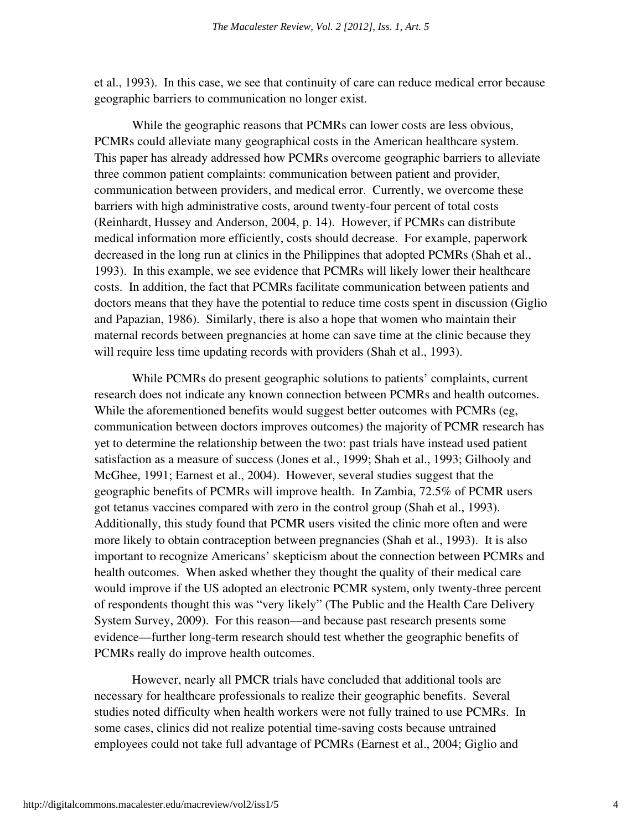et al., 1993). In this case, we see that continuity of care can reduce medical error because geographic barriers to communication no longer exist.

 While the geographic reasons that PCMRs can lower costs are less obvious, PCMRs could alleviate many geographical costs in the American healthcare system. This paper has already addressed how PCMRs overcome geographic barriers to alleviate three common patient complaints: communication between patient and provider, communication between providers, and medical error. Currently, we overcome these barriers with high administrative costs, around twenty-four percent of total costs (Reinhardt, Hussey and Anderson, 2004, p. 14). However, if PCMRs can distribute medical information more efficiently, costs should decrease. For example, paperwork decreased in the long run at clinics in the Philippines that adopted PCMRs (Shah et al., 1993). In this example, we see evidence that PCMRs will likely lower their healthcare costs. In addition, the fact that PCMRs facilitate communication between patients and doctors means that they have the potential to reduce time costs spent in discussion (Giglio and Papazian, 1986). Similarly, there is also a hope that women who maintain their maternal records between pregnancies at home can save time at the clinic because they will require less time updating records with providers (Shah et al., 1993).

 While PCMRs do present geographic solutions to patients' complaints, current research does not indicate any known connection between PCMRs and health outcomes. While the aforementioned benefits would suggest better outcomes with PCMRs (eg, communication between doctors improves outcomes) the majority of PCMR research has yet to determine the relationship between the two: past trials have instead used patient satisfaction as a measure of success (Jones et al., 1999; Shah et al., 1993; Gilhooly and McGhee, 1991; Earnest et al., 2004). However, several studies suggest that the geographic benefits of PCMRs will improve health. In Zambia, 72.5% of PCMR users got tetanus vaccines compared with zero in the control group (Shah et al., 1993). Additionally, this study found that PCMR users visited the clinic more often and were more likely to obtain contraception between pregnancies (Shah et al., 1993). It is also important to recognize Americans' skepticism about the connection between PCMRs and health outcomes. When asked whether they thought the quality of their medical care would improve if the US adopted an electronic PCMR system, only twenty-three percent of respondents thought this was "very likely" (The Public and the Health Care Delivery System Survey, 2009). For this reason—and because past research presents some evidence—further long-term research should test whether the geographic benefits of PCMRs really do improve health outcomes.

 However, nearly all PMCR trials have concluded that additional tools are necessary for healthcare professionals to realize their geographic benefits. Several studies noted difficulty when health workers were not fully trained to use PCMRs. In some cases, clinics did not realize potential time-saving costs because untrained employees could not take full advantage of PCMRs (Earnest et al., 2004; Giglio and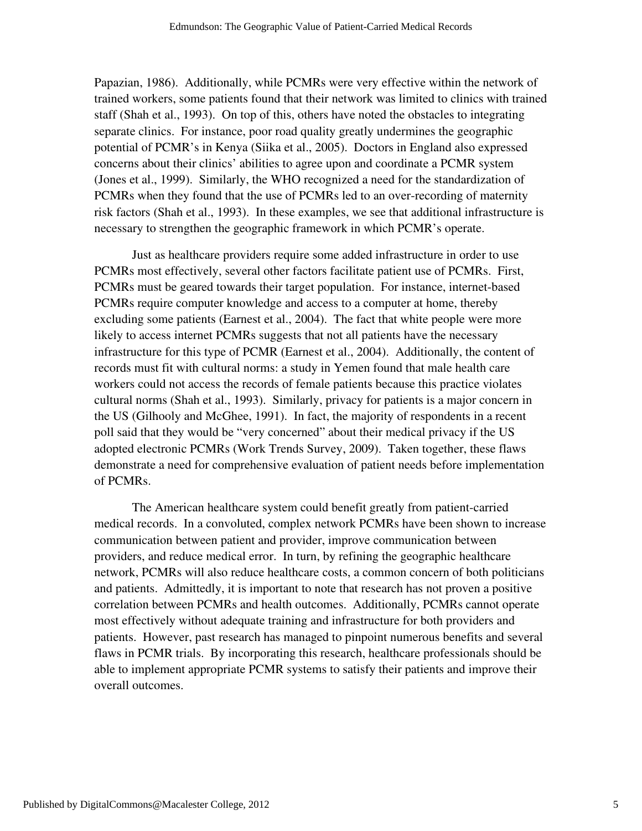Papazian, 1986). Additionally, while PCMRs were very effective within the network of trained workers, some patients found that their network was limited to clinics with trained staff (Shah et al., 1993). On top of this, others have noted the obstacles to integrating separate clinics. For instance, poor road quality greatly undermines the geographic potential of PCMR's in Kenya (Siika et al., 2005). Doctors in England also expressed concerns about their clinics' abilities to agree upon and coordinate a PCMR system (Jones et al., 1999). Similarly, the WHO recognized a need for the standardization of PCMRs when they found that the use of PCMRs led to an over-recording of maternity risk factors (Shah et al., 1993). In these examples, we see that additional infrastructure is necessary to strengthen the geographic framework in which PCMR's operate.

 Just as healthcare providers require some added infrastructure in order to use PCMRs most effectively, several other factors facilitate patient use of PCMRs. First, PCMRs must be geared towards their target population. For instance, internet-based PCMRs require computer knowledge and access to a computer at home, thereby excluding some patients (Earnest et al., 2004). The fact that white people were more likely to access internet PCMRs suggests that not all patients have the necessary infrastructure for this type of PCMR (Earnest et al., 2004). Additionally, the content of records must fit with cultural norms: a study in Yemen found that male health care workers could not access the records of female patients because this practice violates cultural norms (Shah et al., 1993). Similarly, privacy for patients is a major concern in the US (Gilhooly and McGhee, 1991). In fact, the majority of respondents in a recent poll said that they would be "very concerned" about their medical privacy if the US adopted electronic PCMRs (Work Trends Survey, 2009). Taken together, these flaws demonstrate a need for comprehensive evaluation of patient needs before implementation of PCMRs.

The American healthcare system could benefit greatly from patient-carried medical records. In a convoluted, complex network PCMRs have been shown to increase communication between patient and provider, improve communication between providers, and reduce medical error. In turn, by refining the geographic healthcare network, PCMRs will also reduce healthcare costs, a common concern of both politicians and patients. Admittedly, it is important to note that research has not proven a positive correlation between PCMRs and health outcomes. Additionally, PCMRs cannot operate most effectively without adequate training and infrastructure for both providers and patients. However, past research has managed to pinpoint numerous benefits and several flaws in PCMR trials. By incorporating this research, healthcare professionals should be able to implement appropriate PCMR systems to satisfy their patients and improve their overall outcomes.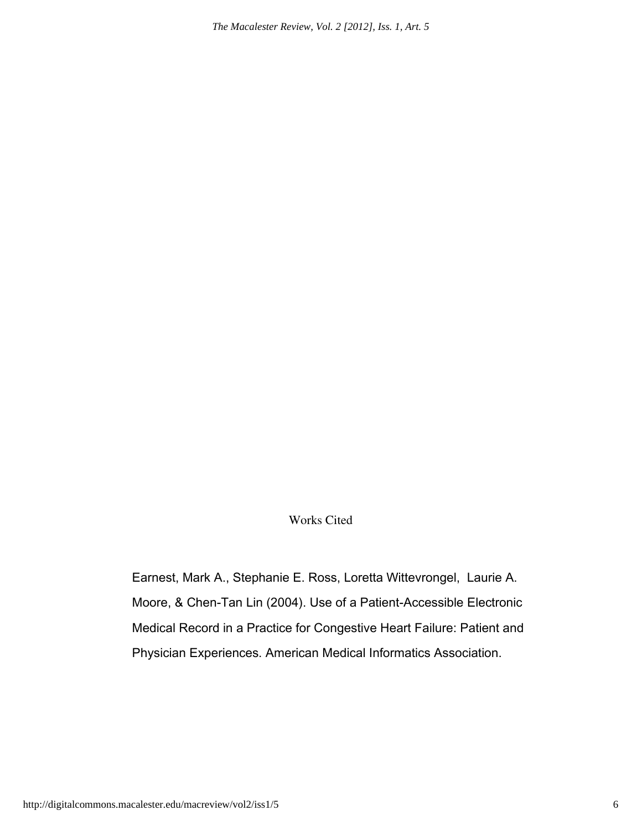*The Macalester Review, Vol. 2 [2012], Iss. 1, Art. 5*

Works Cited

Earnest, Mark A., Stephanie E. Ross, Loretta Wittevrongel, Laurie A. Moore, & Chen-Tan Lin (2004). Use of a Patient-Accessible Electronic Medical Record in a Practice for Congestive Heart Failure: Patient and Physician Experiences. American Medical Informatics Association.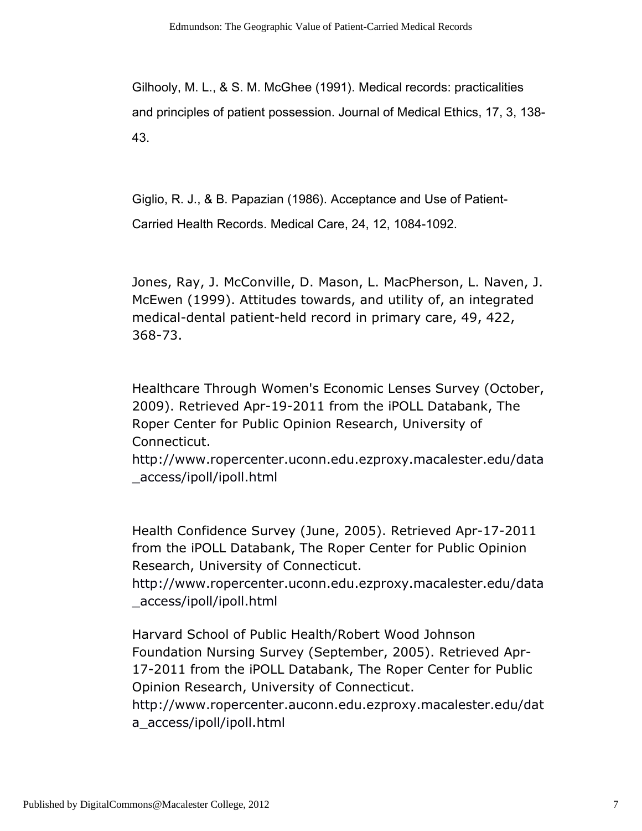Gilhooly, M. L., & S. M. McGhee (1991). Medical records: practicalities and principles of patient possession. Journal of Medical Ethics, 17, 3, 138- 43.

Giglio, R. J., & B. Papazian (1986). Acceptance and Use of Patient-Carried Health Records. Medical Care, 24, 12, 1084-1092.

Jones, Ray, J. McConville, D. Mason, L. MacPherson, L. Naven, J. McEwen (1999). Attitudes towards, and utility of, an integrated medical-dental patient-held record in primary care, 49, 422, 368-73.

Healthcare Through Women's Economic Lenses Survey (October, 2009). Retrieved Apr-19-2011 from the iPOLL Databank, The Roper Center for Public Opinion Research, University of Connecticut.

http://www.ropercenter.uconn.edu.ezproxy.macalester.edu/data \_access/ipoll/ipoll.html

Health Confidence Survey (June, 2005). Retrieved Apr-17-2011 from the iPOLL Databank, The Roper Center for Public Opinion Research, University of Connecticut.

http://www.ropercenter.uconn.edu.ezproxy.macalester.edu/data \_access/ipoll/ipoll.html

Harvard School of Public Health/Robert Wood Johnson Foundation Nursing Survey (September, 2005). Retrieved Apr-17-2011 from the iPOLL Databank, The Roper Center for Public Opinion Research, University of Connecticut. http://www.ropercenter.auconn.edu.ezproxy.macalester.edu/dat

a\_access/ipoll/ipoll.html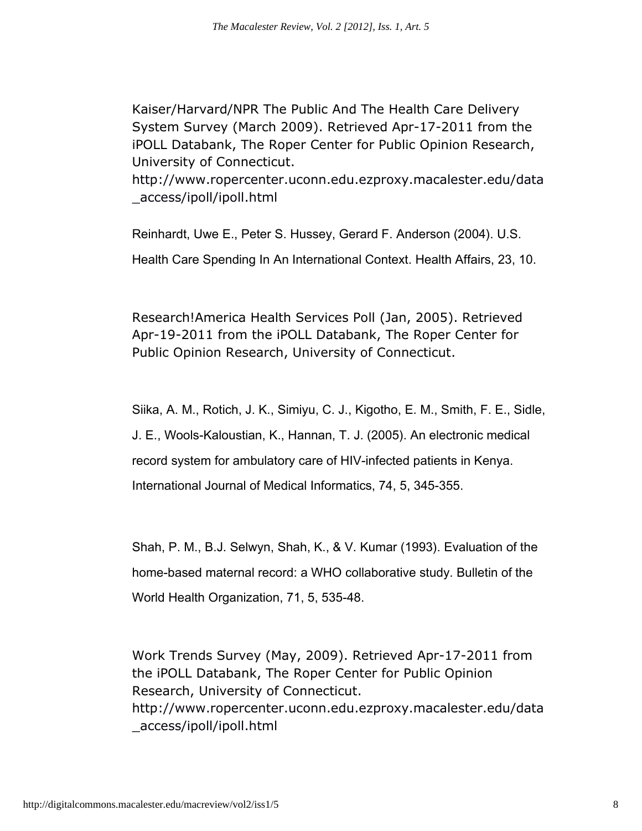Kaiser/Harvard/NPR The Public And The Health Care Delivery System Survey (March 2009). Retrieved Apr-17-2011 from the iPOLL Databank, The Roper Center for Public Opinion Research, University of Connecticut.

http://www.ropercenter.uconn.edu.ezproxy.macalester.edu/data \_access/ipoll/ipoll.html

Reinhardt, Uwe E., Peter S. Hussey, Gerard F. Anderson (2004). U.S. Health Care Spending In An International Context. Health Affairs, 23, 10.

Research!America Health Services Poll (Jan, 2005). Retrieved Apr-19-2011 from the iPOLL Databank, The Roper Center for Public Opinion Research, University of Connecticut.

Siika, A. M., Rotich, J. K., Simiyu, C. J., Kigotho, E. M., Smith, F. E., Sidle, J. E., Wools-Kaloustian, K., Hannan, T. J. (2005). An electronic medical record system for ambulatory care of HIV-infected patients in Kenya. International Journal of Medical Informatics, 74, 5, 345-355.

Shah, P. M., B.J. Selwyn, Shah, K., & V. Kumar (1993). Evaluation of the home-based maternal record: a WHO collaborative study. Bulletin of the World Health Organization, 71, 5, 535-48.

Work Trends Survey (May, 2009). Retrieved Apr-17-2011 from the iPOLL Databank, The Roper Center for Public Opinion Research, University of Connecticut. http://www.ropercenter.uconn.edu.ezproxy.macalester.edu/data \_access/ipoll/ipoll.html